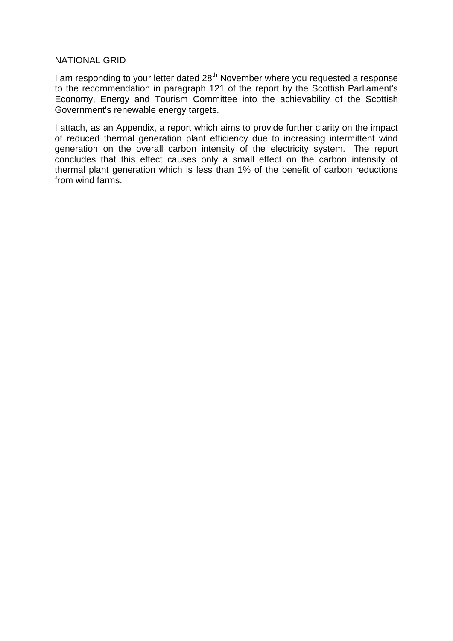### NATIONAL GRID

I am responding to your letter dated  $28<sup>th</sup>$  November where you requested a response to the recommendation in paragraph 121 of the report by the Scottish Parliament's Economy, Energy and Tourism Committee into the achievability of the Scottish Government's renewable energy targets.

I attach, as an Appendix, a report which aims to provide further clarity on the impact of reduced thermal generation plant efficiency due to increasing intermittent wind generation on the overall carbon intensity of the electricity system. The report concludes that this effect causes only a small effect on the carbon intensity of thermal plant generation which is less than 1% of the benefit of carbon reductions from wind farms.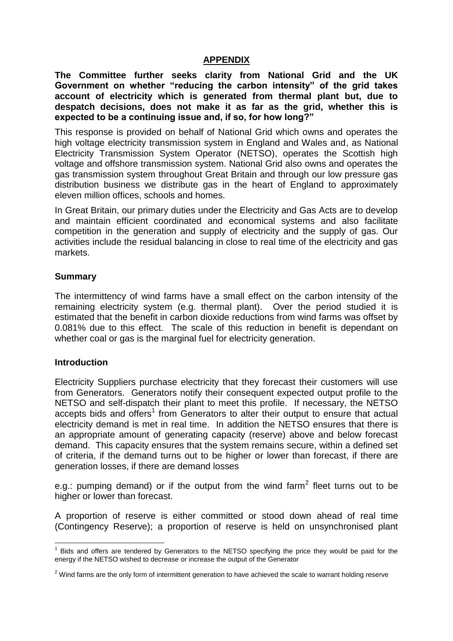## **APPENDIX**

**The Committee further seeks clarity from National Grid and the UK Government on whether "reducing the carbon intensity" of the grid takes account of electricity which is generated from thermal plant but, due to despatch decisions, does not make it as far as the grid, whether this is expected to be a continuing issue and, if so, for how long?"**

This response is provided on behalf of National Grid which owns and operates the high voltage electricity transmission system in England and Wales and, as National Electricity Transmission System Operator (NETSO), operates the Scottish high voltage and offshore transmission system. National Grid also owns and operates the gas transmission system throughout Great Britain and through our low pressure gas distribution business we distribute gas in the heart of England to approximately eleven million offices, schools and homes.

In Great Britain, our primary duties under the Electricity and Gas Acts are to develop and maintain efficient coordinated and economical systems and also facilitate competition in the generation and supply of electricity and the supply of gas. Our activities include the residual balancing in close to real time of the electricity and gas markets.

### **Summary**

The intermittency of wind farms have a small effect on the carbon intensity of the remaining electricity system (e.g. thermal plant). Over the period studied it is estimated that the benefit in carbon dioxide reductions from wind farms was offset by 0.081% due to this effect. The scale of this reduction in benefit is dependant on whether coal or gas is the marginal fuel for electricity generation.

### **Introduction**

1

Electricity Suppliers purchase electricity that they forecast their customers will use from Generators. Generators notify their consequent expected output profile to the NETSO and self-dispatch their plant to meet this profile. If necessary, the NETSO accepts bids and offers<sup>1</sup> from Generators to alter their output to ensure that actual electricity demand is met in real time. In addition the NETSO ensures that there is an appropriate amount of generating capacity (reserve) above and below forecast demand. This capacity ensures that the system remains secure, within a defined set of criteria, if the demand turns out to be higher or lower than forecast, if there are generation losses, if there are demand losses

e.g.: pumping demand) or if the output from the wind farm<sup>2</sup> fleet turns out to be higher or lower than forecast.

A proportion of reserve is either committed or stood down ahead of real time (Contingency Reserve); a proportion of reserve is held on unsynchronised plant

<sup>&</sup>lt;sup>1</sup> Bids and offers are tendered by Generators to the NETSO specifying the price they would be paid for the energy if the NETSO wished to decrease or increase the output of the Generator

 $2$  Wind farms are the only form of intermittent generation to have achieved the scale to warrant holding reserve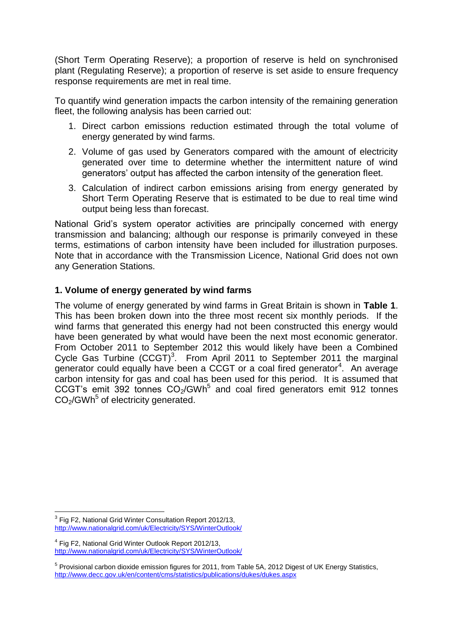(Short Term Operating Reserve); a proportion of reserve is held on synchronised plant (Regulating Reserve); a proportion of reserve is set aside to ensure frequency response requirements are met in real time.

To quantify wind generation impacts the carbon intensity of the remaining generation fleet, the following analysis has been carried out:

- 1. Direct carbon emissions reduction estimated through the total volume of energy generated by wind farms.
- 2. Volume of gas used by Generators compared with the amount of electricity generated over time to determine whether the intermittent nature of wind generators' output has affected the carbon intensity of the generation fleet.
- 3. Calculation of indirect carbon emissions arising from energy generated by Short Term Operating Reserve that is estimated to be due to real time wind output being less than forecast.

National Grid's system operator activities are principally concerned with energy transmission and balancing; although our response is primarily conveyed in these terms, estimations of carbon intensity have been included for illustration purposes. Note that in accordance with the Transmission Licence, National Grid does not own any Generation Stations.

# **1. Volume of energy generated by wind farms**

The volume of energy generated by wind farms in Great Britain is shown in **Table 1**. This has been broken down into the three most recent six monthly periods. If the wind farms that generated this energy had not been constructed this energy would have been generated by what would have been the next most economic generator. From October 2011 to September 2012 this would likely have been a Combined Cycle Gas Turbine  $(CCGT)^3$ . From April 2011 to September 2011 the marginal generator could equally have been a CCGT or a coal fired generator<sup>4</sup>. An average carbon intensity for gas and coal has been used for this period. It is assumed that CCGT's emit 392 tonnes  $CO<sub>2</sub>/GWh<sup>5</sup>$  and coal fired generators emit 912 tonnes CO<sub>2</sub>/GWh<sup>5</sup> of electricity generated.

<sup>&</sup>lt;u>.</u> <sup>3</sup> Fig F2, National Grid Winter Consultation Report 2012/13, <http://www.nationalgrid.com/uk/Electricity/SYS/WinterOutlook/>

<sup>&</sup>lt;sup>4</sup> Fig F2, National Grid Winter Outlook Report 2012/13, <http://www.nationalgrid.com/uk/Electricity/SYS/WinterOutlook/>

<sup>&</sup>lt;sup>5</sup> Provisional carbon dioxide emission figures for 2011, from Table 5A, 2012 Digest of UK Energy Statistics, <http://www.decc.gov.uk/en/content/cms/statistics/publications/dukes/dukes.aspx>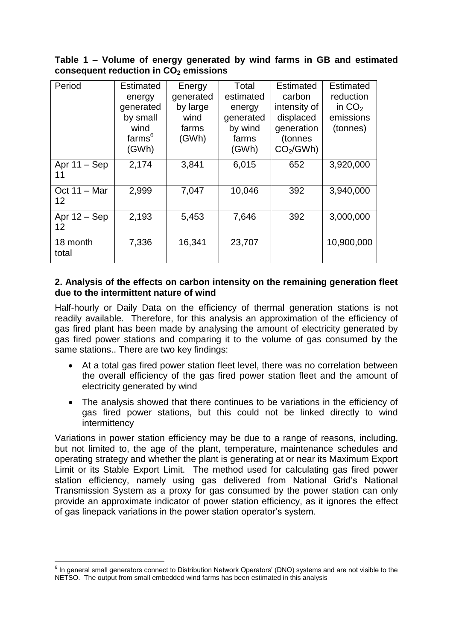# **Table 1 – Volume of energy generated by wind farms in GB and estimated consequent reduction in CO<sup>2</sup> emissions**

| Period                      | Estimated<br>energy<br>generated<br>by small<br>wind<br>farms <sup>6</sup><br>(GWh) | Energy<br>generated<br>by large<br>wind<br>farms<br>(GWh) | Total<br>estimated<br>energy<br>generated<br>by wind<br>farms<br>(GWh) | <b>Estimated</b><br>carbon<br>intensity of<br>displaced<br>generation<br>(tonnes<br>CO <sub>2</sub> /GWh | <b>Estimated</b><br>reduction<br>in $CO2$<br>emissions<br>(tonnes) |
|-----------------------------|-------------------------------------------------------------------------------------|-----------------------------------------------------------|------------------------------------------------------------------------|----------------------------------------------------------------------------------------------------------|--------------------------------------------------------------------|
| Apr $11 -$ Sep<br>11        | 2,174                                                                               | 3,841                                                     | 6,015                                                                  | 652                                                                                                      | 3,920,000                                                          |
| Oct $11 - \text{Mar}$<br>12 | 2,999                                                                               | 7,047                                                     | 10,046                                                                 | 392                                                                                                      | 3,940,000                                                          |
| Apr $12 -$ Sep<br>12        | 2,193                                                                               | 5,453                                                     | 7,646                                                                  | 392                                                                                                      | 3,000,000                                                          |
| 18 month<br>total           | 7,336                                                                               | 16,341                                                    | 23,707                                                                 |                                                                                                          | 10,900,000                                                         |

### **2. Analysis of the effects on carbon intensity on the remaining generation fleet due to the intermittent nature of wind**

Half-hourly or Daily Data on the efficiency of thermal generation stations is not readily available. Therefore, for this analysis an approximation of the efficiency of gas fired plant has been made by analysing the amount of electricity generated by gas fired power stations and comparing it to the volume of gas consumed by the same stations.. There are two key findings:

- At a total gas fired power station fleet level, there was no correlation between the overall efficiency of the gas fired power station fleet and the amount of electricity generated by wind
- The analysis showed that there continues to be variations in the efficiency of gas fired power stations, but this could not be linked directly to wind intermittency

Variations in power station efficiency may be due to a range of reasons, including, but not limited to, the age of the plant, temperature, maintenance schedules and operating strategy and whether the plant is generating at or near its Maximum Export Limit or its Stable Export Limit. The method used for calculating gas fired power station efficiency, namely using gas delivered from National Grid's National Transmission System as a proxy for gas consumed by the power station can only provide an approximate indicator of power station efficiency, as it ignores the effect of gas linepack variations in the power station operator's system.

1

<sup>&</sup>lt;sup>6</sup> In general small generators connect to Distribution Network Operators' (DNO) systems and are not visible to the NETSO. The output from small embedded wind farms has been estimated in this analysis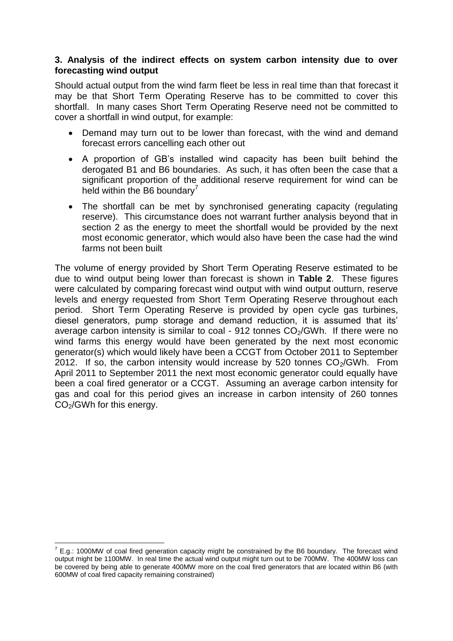## **3. Analysis of the indirect effects on system carbon intensity due to over forecasting wind output**

Should actual output from the wind farm fleet be less in real time than that forecast it may be that Short Term Operating Reserve has to be committed to cover this shortfall. In many cases Short Term Operating Reserve need not be committed to cover a shortfall in wind output, for example:

- Demand may turn out to be lower than forecast, with the wind and demand forecast errors cancelling each other out
- A proportion of GB's installed wind capacity has been built behind the derogated B1 and B6 boundaries. As such, it has often been the case that a significant proportion of the additional reserve requirement for wind can be held within the B6 boundary $\prime$
- The shortfall can be met by synchronised generating capacity (regulating reserve). This circumstance does not warrant further analysis beyond that in section 2 as the energy to meet the shortfall would be provided by the next most economic generator, which would also have been the case had the wind farms not been built

The volume of energy provided by Short Term Operating Reserve estimated to be due to wind output being lower than forecast is shown in **Table 2**. These figures were calculated by comparing forecast wind output with wind output outturn, reserve levels and energy requested from Short Term Operating Reserve throughout each period. Short Term Operating Reserve is provided by open cycle gas turbines, diesel generators, pump storage and demand reduction, it is assumed that its' average carbon intensity is similar to coal - 912 tonnes  $CO<sub>2</sub>/GWh$ . If there were no wind farms this energy would have been generated by the next most economic generator(s) which would likely have been a CCGT from October 2011 to September 2012. If so, the carbon intensity would increase by 520 tonnes  $CO<sub>2</sub>/GWh$ . From April 2011 to September 2011 the next most economic generator could equally have been a coal fired generator or a CCGT. Assuming an average carbon intensity for gas and coal for this period gives an increase in carbon intensity of 260 tonnes CO<sub>2</sub>/GWh for this energy.

 7 E.g.: 1000MW of coal fired generation capacity might be constrained by the B6 boundary. The forecast wind output might be 1100MW. In real time the actual wind output might turn out to be 700MW. The 400MW loss can be covered by being able to generate 400MW more on the coal fired generators that are located within B6 (with 600MW of coal fired capacity remaining constrained)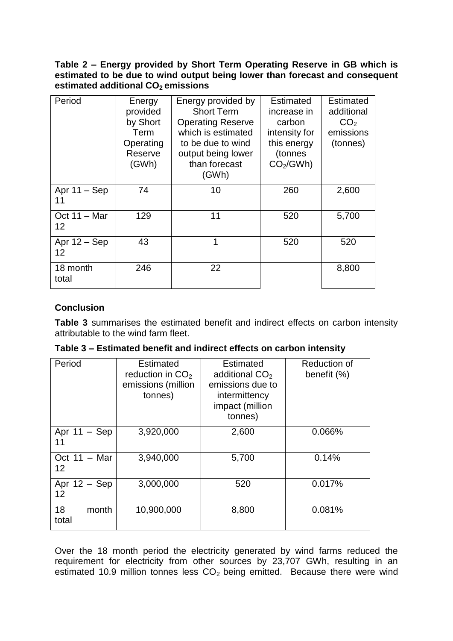**Table 2 – Energy provided by Short Term Operating Reserve in GB which is estimated to be due to wind output being lower than forecast and consequent estimated additional CO2 emissions**

| Period                      | Energy<br>provided<br>by Short<br>Term<br>Operating<br>Reserve<br>(GWh) | Energy provided by<br><b>Short Term</b><br><b>Operating Reserve</b><br>which is estimated<br>to be due to wind<br>output being lower<br>than forecast<br>(GWh) | Estimated<br>increase in<br>carbon<br>intensity for<br>this energy<br>(tonnes<br>CO <sub>2</sub> /GWh) | Estimated<br>additional<br>CO <sub>2</sub><br>emissions<br>(tonnes) |
|-----------------------------|-------------------------------------------------------------------------|----------------------------------------------------------------------------------------------------------------------------------------------------------------|--------------------------------------------------------------------------------------------------------|---------------------------------------------------------------------|
| Apr $11 -$ Sep<br>11        | 74                                                                      | 10                                                                                                                                                             | 260                                                                                                    | 2,600                                                               |
| Oct $11 - \text{Mar}$<br>12 | 129                                                                     | 11                                                                                                                                                             | 520                                                                                                    | 5,700                                                               |
| Apr $12 -$ Sep<br>12        | 43                                                                      | 1                                                                                                                                                              | 520                                                                                                    | 520                                                                 |
| 18 month<br>total           | 246                                                                     | 22                                                                                                                                                             |                                                                                                        | 8,800                                                               |

# **Conclusion**

**Table 3** summarises the estimated benefit and indirect effects on carbon intensity attributable to the wind farm fleet.

| Table 3 – Estimated benefit and indirect effects on carbon intensity |  |  |  |  |
|----------------------------------------------------------------------|--|--|--|--|
|----------------------------------------------------------------------|--|--|--|--|

| Period                      | <b>Estimated</b><br>reduction in $CO2$<br>emissions (million<br>tonnes) | <b>Estimated</b><br>additional CO <sub>2</sub><br>emissions due to<br>intermittency<br>impact (million<br>tonnes) | Reduction of<br>benefit (%) |
|-----------------------------|-------------------------------------------------------------------------|-------------------------------------------------------------------------------------------------------------------|-----------------------------|
| Apr $11 -$ Sep<br>11        | 3,920,000                                                               | 2,600                                                                                                             | 0.066%                      |
| Oct $11 - \text{Mar}$<br>12 | 3,940,000                                                               | 5,700                                                                                                             | 0.14%                       |
| Apr $12 -$ Sep<br>12        | 3,000,000                                                               | 520                                                                                                               | 0.017%                      |
| 18<br>month<br>total        | 10,900,000                                                              | 8,800                                                                                                             | 0.081%                      |

Over the 18 month period the electricity generated by wind farms reduced the requirement for electricity from other sources by 23,707 GWh, resulting in an estimated 10.9 million tonnes less  $CO<sub>2</sub>$  being emitted. Because there were wind